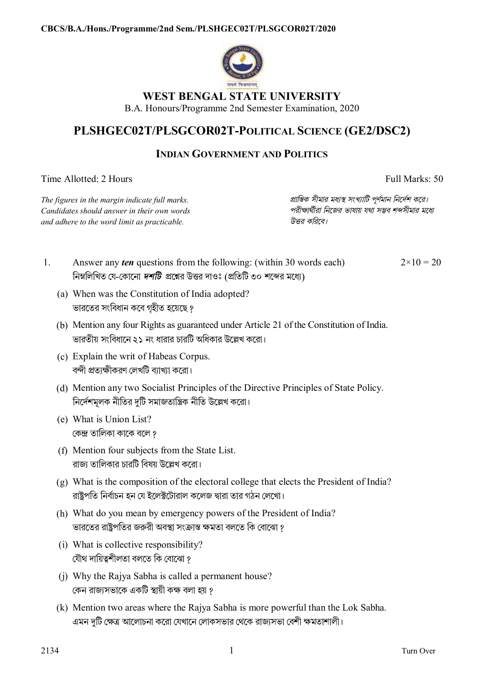

# **WEST BENGAL STATE UNIVERSITY**

B.A. Honours/Programme 2nd Semester Examination, 2020

# **PLSHGEC02T/PLSGCOR02T-POLITICAL SCIENCE (GE2/DSC2)**

## **INDIAN GOVERNMENT AND POLITICS**

Time Allotted: 2 Hours Full Marks: 50

*The figures in the margin indicate full marks. pািnক সীমার মধ°s সংখ°ািট পূণমান িনেদশ কের। Candidates should answer in their own words পরীkাথীরা িনেজর ভাষায় যথা সmব শbসীমার মেধ° and adhere to the word limit as practicable. উtর কিরেব।*

1. Answer any *ten* questions from the following: (within 30 words each) নিম্নলিখিত যে-কোনো *দশটি প্র*শ্নের উত্তর দাওঃ (প্রতিটি ৩০ শব্দের মধ্যে)

 $2 \times 10 = 20$ 

- (a) When was the Constitution of India adopted? ভারেতর সংিবধান কেব গৃহীত হেয়েছ ?
- (b) Mention any four Rights as guaranteed under Article 21 of the Constitution of India. ভারতীয় সংবিধানে ২১ নং ধারার চারটি অধিকার উল্লেখ করো।
- (c) Explain the writ of Habeas Corpus. বন্দী প্রত্যক্ষীকরণ লেখটি ব্যাখ্যা করো।
- (d) Mention any two Socialist Principles of the Directive Principles of State Policy. নিৰ্দেশমূলক নীতির দুটি সমাজতান্ত্ৰিক নীতি উল্লেখ করো।
- (e) What is Union List? কেন্দ্ৰ তালিকা কাকে বলে ?
- (f) Mention four subjects from the State List. রাজ্য তালিকার চারটি বিষয় উল্লেখ করো।
- (g) What is the composition of the electoral college that elects the President of India? রাষ্ট্রপতি নির্বাচন হন যে ইলেক্টটোরাল কলেজ দ্বারা তার গঠন লেখাে।
- (h) What do you mean by emergency powers of the President of India? ভারতের রাষ্ট্রপতির জরুরী অবস্থা সংক্রান্ত ক্ষমতা বলতে কি বােঝাে ?
- (i) What is collective responsibility? যৌথ দায়িত্বশীলতা বলতে কি বোঝো ?
- (j) Why the Rajya Sabha is called a permanent house? কেন রাজ্যসভাকে একটি স্থায়ী কক্ষ বলা হয় ?
- (k) Mention two areas where the Rajya Sabha is more powerful than the Lok Sabha. এমন দুটি ক্ষেত্র আলােচনা করাে যেখানে লােকসভার থেকে রাজ্যসভা বেশী ক্ষমতাশালী।